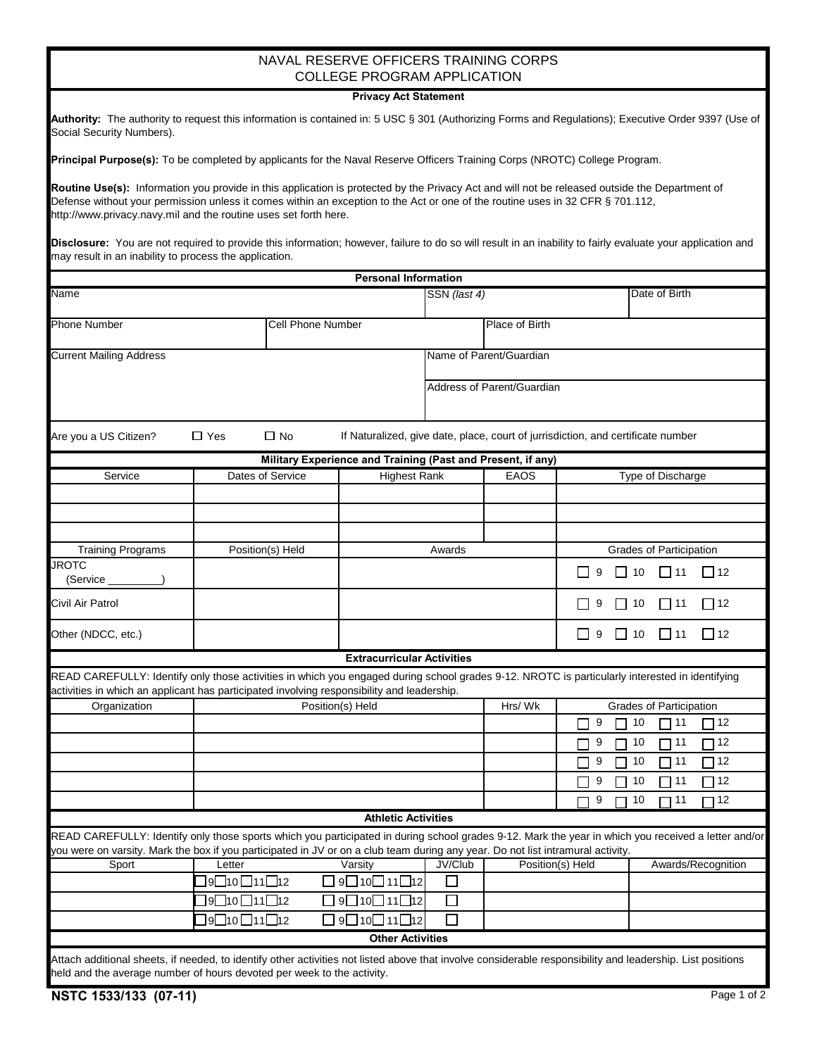## NAVAL RESERVE OFFICERS TRAINING CORPS COLLEGE PROGRAM APPLICATION

## **Privacy Act Statement**

| Authority: The authority to request this information is contained in: 5 USC § 301 (Authorizing Forms and Regulations); Executive Order 9397 (Use of |  |  |
|-----------------------------------------------------------------------------------------------------------------------------------------------------|--|--|
| Social Security Numbers).                                                                                                                           |  |  |

**Principal Purpose(s):** To be completed by applicants for the Naval Reserve Officers Training Corps (NROTC) College Program.

Routine Use(s): Information you provide in this application is protected by the Privacy Act and will not be released outside the Department of Defense without your permission unless it comes within an exception to the Act or one of the routine uses in 32 CFR § 701.112, http://www.privacy.navy.mil and the routine uses set forth here.

**Disclosure:** You are not required to provide this information; however, failure to do so will result in an inability to fairly evaluate your application and may result in an inability to process the application.

|                                                                                                                                                                                                                                              |             |                                         | <b>Personal Information</b>                                                      |                         |                                              |                                                |                         |                       |
|----------------------------------------------------------------------------------------------------------------------------------------------------------------------------------------------------------------------------------------------|-------------|-----------------------------------------|----------------------------------------------------------------------------------|-------------------------|----------------------------------------------|------------------------------------------------|-------------------------|-----------------------|
| Name                                                                                                                                                                                                                                         |             |                                         |                                                                                  | SSN (last 4)            |                                              | Date of Birth                                  |                         |                       |
| <b>Phone Number</b>                                                                                                                                                                                                                          |             | Cell Phone Number                       |                                                                                  |                         | Place of Birth                               |                                                |                         |                       |
| <b>Current Mailing Address</b>                                                                                                                                                                                                               |             |                                         |                                                                                  | Name of Parent/Guardian |                                              |                                                |                         |                       |
|                                                                                                                                                                                                                                              |             |                                         |                                                                                  |                         | Address of Parent/Guardian                   |                                                |                         |                       |
| Are you a US Citizen?                                                                                                                                                                                                                        | $\Box$ Yes  | $\Box$ No                               | If Naturalized, give date, place, court of jurrisdiction, and certificate number |                         |                                              |                                                |                         |                       |
|                                                                                                                                                                                                                                              |             |                                         | Military Experience and Training (Past and Present, if any)                      |                         |                                              |                                                |                         |                       |
| Service                                                                                                                                                                                                                                      |             | Dates of Service<br><b>Highest Rank</b> |                                                                                  | <b>EAOS</b>             |                                              | Type of Discharge                              |                         |                       |
|                                                                                                                                                                                                                                              |             |                                         |                                                                                  |                         |                                              |                                                |                         |                       |
|                                                                                                                                                                                                                                              |             |                                         |                                                                                  |                         |                                              |                                                |                         |                       |
| <b>Training Programs</b>                                                                                                                                                                                                                     |             | Position(s) Held                        |                                                                                  | Awards                  |                                              | Grades of Participation                        |                         |                       |
| <b>JROTC</b><br>(Service                                                                                                                                                                                                                     |             |                                         |                                                                                  |                         |                                              | 9<br>ΙI                                        | $\Box$ 11<br>$\Box$ 10  | $\Box$ 12             |
| Civil Air Patrol                                                                                                                                                                                                                             |             |                                         |                                                                                  |                         | 9<br>$\vert$ 10<br>$\Box$ 11<br>$\mathsf{L}$ |                                                | $\Box$ 12               |                       |
| Other (NDCC, etc.)                                                                                                                                                                                                                           |             |                                         |                                                                                  |                         |                                              | ΙI<br>$\Box$ 11<br>$\Box$ 12<br>9<br>$\Box$ 10 |                         |                       |
|                                                                                                                                                                                                                                              |             |                                         | <b>Extracurricular Activities</b>                                                |                         |                                              |                                                |                         |                       |
| READ CAREFULLY: Identify only those activities in which you engaged during school grades 9-12. NROTC is particularly interested in identifying<br>activities in which an applicant has participated involving responsibility and leadership. |             |                                         |                                                                                  |                         |                                              |                                                |                         |                       |
| Organization                                                                                                                                                                                                                                 |             |                                         | Position(s) Held                                                                 |                         | Hrs/Wk                                       |                                                | Grades of Participation |                       |
|                                                                                                                                                                                                                                              |             |                                         |                                                                                  |                         |                                              | 9                                              | 10<br>$\Box$ 11         | ヿ12                   |
|                                                                                                                                                                                                                                              |             |                                         |                                                                                  |                         |                                              | 9                                              | 10<br>$\Box$ 11         | $\mathbin{\sqcap}$ 12 |
|                                                                                                                                                                                                                                              |             |                                         |                                                                                  |                         |                                              | 9                                              | 10<br>$\Box$ 11         | 712                   |
|                                                                                                                                                                                                                                              |             |                                         |                                                                                  |                         |                                              | 9                                              | 10<br>▔ 11              | 12                    |
|                                                                                                                                                                                                                                              |             |                                         |                                                                                  |                         |                                              | 9                                              | $\Box$ 11<br>10         | 12                    |
|                                                                                                                                                                                                                                              |             |                                         | <b>Athletic Activities</b>                                                       |                         |                                              |                                                |                         |                       |
| READ CAREFULLY: Identify only those sports which you participated in during school grades 9-12. Mark the year in which you received a letter and/or                                                                                          |             |                                         |                                                                                  |                         |                                              |                                                |                         |                       |
| you were on varsity. Mark the box if you participated in JV or on a club team during any year. Do not list intramural activity.                                                                                                              |             |                                         |                                                                                  |                         |                                              |                                                |                         |                       |
|                                                                                                                                                                                                                                              |             |                                         | Sport Letter Varsity JV/Club Position(s) Held                                    |                         |                                              |                                                | Awards/Recognition      |                       |
|                                                                                                                                                                                                                                              | 9□10□11□12  |                                         | 9□10□11□12                                                                       | $\mathcal{L}$           |                                              |                                                |                         |                       |
|                                                                                                                                                                                                                                              | ]9□10□11□12 |                                         | 9□10□11□12                                                                       | $\Box$                  |                                              |                                                |                         |                       |
|                                                                                                                                                                                                                                              | ]9□10□11□12 |                                         | 9□10□11□12                                                                       | $\Box$                  |                                              |                                                |                         |                       |
|                                                                                                                                                                                                                                              |             |                                         | <b>Other Activities</b>                                                          |                         |                                              |                                                |                         |                       |
| Attach additional sheets, if needed, to identify other activities not listed above that involve considerable responsibility and leadership. List positions                                                                                   |             |                                         |                                                                                  |                         |                                              |                                                |                         |                       |
| held and the average number of hours devoted per week to the activity.                                                                                                                                                                       |             |                                         |                                                                                  |                         |                                              |                                                |                         |                       |